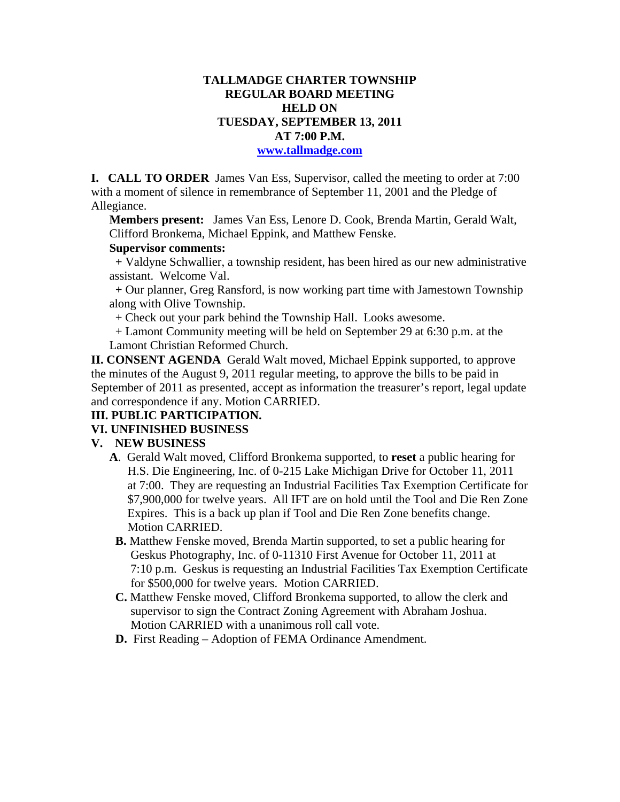## **TALLMADGE CHARTER TOWNSHIP REGULAR BOARD MEETING HELD ON TUESDAY, SEPTEMBER 13, 2011 AT 7:00 P.M.**

#### **www.tallmadge.com**

**I. CALL TO ORDER** James Van Ess, Supervisor, called the meeting to order at 7:00 with a moment of silence in remembrance of September 11, 2001 and the Pledge of Allegiance.

**Members present:** James Van Ess, Lenore D. Cook, Brenda Martin, Gerald Walt, Clifford Bronkema, Michael Eppink, and Matthew Fenske.

### **Supervisor comments:**

 **+** Valdyne Schwallier, a township resident, has been hired as our new administrative assistant. Welcome Val.

 **+** Our planner, Greg Ransford, is now working part time with Jamestown Township along with Olive Township.

+ Check out your park behind the Township Hall. Looks awesome.

 + Lamont Community meeting will be held on September 29 at 6:30 p.m. at the Lamont Christian Reformed Church.

**II. CONSENT AGENDA** Gerald Walt moved, Michael Eppink supported, to approve the minutes of the August 9, 2011 regular meeting, to approve the bills to be paid in September of 2011 as presented, accept as information the treasurer's report, legal update and correspondence if any. Motion CARRIED.

# **III. PUBLIC PARTICIPATION.**

# **VI. UNFINISHED BUSINESS**

#### **V. NEW BUSINESS**

- **A**. Gerald Walt moved, Clifford Bronkema supported, to **reset** a public hearing for H.S. Die Engineering, Inc. of 0-215 Lake Michigan Drive for October 11, 2011 at 7:00. They are requesting an Industrial Facilities Tax Exemption Certificate for \$7,900,000 for twelve years. All IFT are on hold until the Tool and Die Ren Zone Expires. This is a back up plan if Tool and Die Ren Zone benefits change. Motion CARRIED.
- **B.** Matthew Fenske moved, Brenda Martin supported, to set a public hearing for Geskus Photography, Inc. of 0-11310 First Avenue for October 11, 2011 at 7:10 p.m. Geskus is requesting an Industrial Facilities Tax Exemption Certificate for \$500,000 for twelve years. Motion CARRIED.
- **C.** Matthew Fenske moved, Clifford Bronkema supported, to allow the clerk and supervisor to sign the Contract Zoning Agreement with Abraham Joshua. Motion CARRIED with a unanimous roll call vote.
- **D.** First Reading Adoption of FEMA Ordinance Amendment.